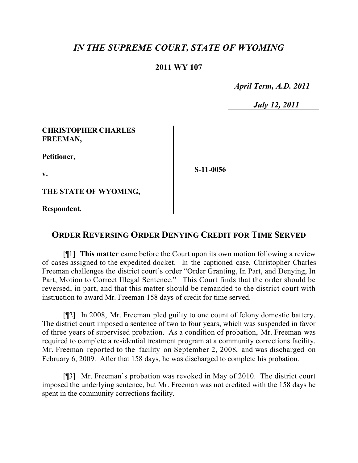# *IN THE SUPREME COURT, STATE OF WYOMING*

### **2011 WY 107**

 *April Term, A.D. 2011*

 *July 12, 2011*

#### **CHRISTOPHER CHARLES FREEMAN,**

**Petitioner,**

**v.**

**S-11-0056**

**THE STATE OF WYOMING,**

**Respondent.**

## **ORDER REVERSING ORDER DENYING CREDIT FOR TIME SERVED**

[¶1] **This matter** came before the Court upon its own motion following a review of cases assigned to the expedited docket. In the captioned case, Christopher Charles Freeman challenges the district court's order "Order Granting, In Part, and Denying, In Part, Motion to Correct Illegal Sentence." This Court finds that the order should be reversed, in part, and that this matter should be remanded to the district court with instruction to award Mr. Freeman 158 days of credit for time served.

[¶2] In 2008, Mr. Freeman pled guilty to one count of felony domestic battery. The district court imposed a sentence of two to four years, which was suspended in favor of three years of supervised probation. As a condition of probation, Mr. Freeman was required to complete a residential treatment program at a community corrections facility. Mr. Freeman reported to the facility on September 2, 2008, and was discharged on February 6, 2009. After that 158 days, he was discharged to complete his probation.

[¶3] Mr. Freeman's probation was revoked in May of 2010. The district court imposed the underlying sentence, but Mr. Freeman was not credited with the 158 days he spent in the community corrections facility.